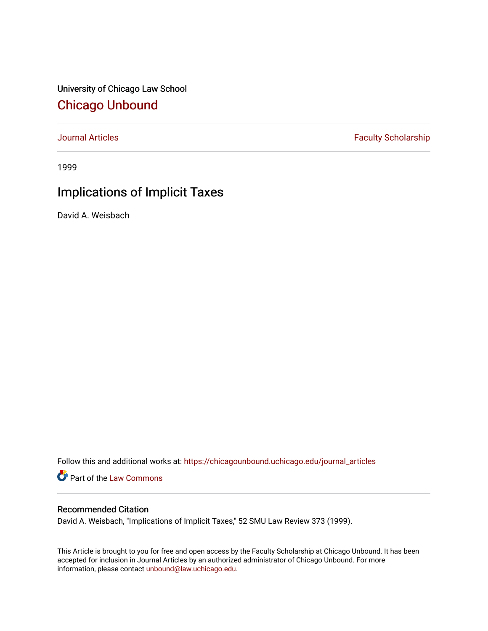University of Chicago Law School [Chicago Unbound](https://chicagounbound.uchicago.edu/)

[Journal Articles](https://chicagounbound.uchicago.edu/journal_articles) **Faculty Scholarship Faculty Scholarship** 

1999

# Implications of Implicit Taxes

David A. Weisbach

Follow this and additional works at: [https://chicagounbound.uchicago.edu/journal\\_articles](https://chicagounbound.uchicago.edu/journal_articles?utm_source=chicagounbound.uchicago.edu%2Fjournal_articles%2F2027&utm_medium=PDF&utm_campaign=PDFCoverPages) 

Part of the [Law Commons](http://network.bepress.com/hgg/discipline/578?utm_source=chicagounbound.uchicago.edu%2Fjournal_articles%2F2027&utm_medium=PDF&utm_campaign=PDFCoverPages)

## Recommended Citation

David A. Weisbach, "Implications of Implicit Taxes," 52 SMU Law Review 373 (1999).

This Article is brought to you for free and open access by the Faculty Scholarship at Chicago Unbound. It has been accepted for inclusion in Journal Articles by an authorized administrator of Chicago Unbound. For more information, please contact [unbound@law.uchicago.edu](mailto:unbound@law.uchicago.edu).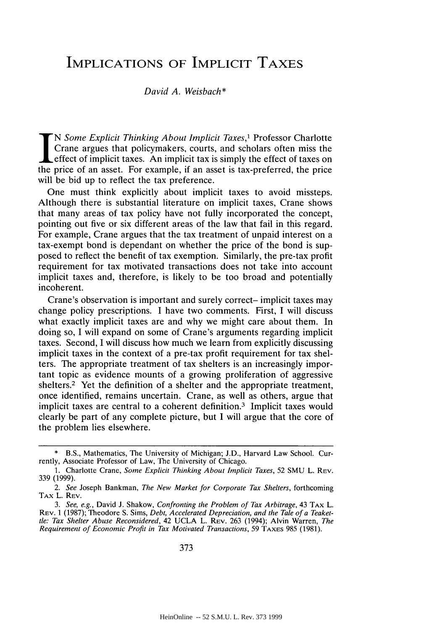# **IMPLICATIONS** OF IMPLICIT TAXES

#### *David A. Weisbach\**

N Some *Explicit Thinking About Implicit Taxes,1* Professor Charlotte Crane argues that policymakers, courts, and scholars often miss the effect of implicit taxes. An implicit tax is simply the effect of taxes on the price of an asset. For example, if an asset is tax-preferred, the price will be bid up to reflect the tax preference.

One must think explicitly about implicit taxes to avoid missteps. Although there is substantial literature on implicit taxes, Crane shows that many areas of tax policy have not fully incorporated the concept, pointing out five or six different areas of the law that fail in this regard. For example, Crane argues that the tax treatment of unpaid interest on a tax-exempt bond is dependant on whether the price of the bond is supposed to reflect the benefit of tax exemption. Similarly, the pre-tax profit requirement for tax motivated transactions does not take into account implicit taxes and, therefore, is likely to be too broad and potentially incoherent.

Crane's observation is important and surely correct- implicit taxes may change policy prescriptions. I have two comments. First, I will discuss what exactly implicit taxes are and why we might care about them. In doing so, I will expand on some of Crane's arguments regarding implicit taxes. Second, I will discuss how much we learn from explicitly discussing implicit taxes in the context of a pre-tax profit requirement for tax shelters. The appropriate treatment of tax shelters is an increasingly important topic as evidence mounts of a growing proliferation of aggressive shelters.<sup>2</sup> Yet the definition of a shelter and the appropriate treatment, once identified, remains uncertain. Crane, as well as others, argue that implicit taxes are central to a coherent definition.<sup>3</sup> Implicit taxes would clearly be part of any complete picture, but I will argue that the core of the problem lies elsewhere.

**<sup>\*</sup>** B.S., Mathematics, The University of Michigan; J.D., Harvard Law School. Currently, Associate Professor of Law, The University of Chicago.

<sup>1.</sup> Charlotte Crane, *Some Explicit Thinking About Implicit Taxes,* 52 SMU L. **REV.** 339 (1999).

*<sup>2.</sup> See* Joseph Bankman, *The New Market for Corporate Tax Shelters,* forthcoming TAX L. REV.

*<sup>3.</sup> See, e.g.,* David J. Shakow, *Confronting the Problem of Tax Arbitrage,* 43 TAX L. REV. 1 (1987); Theodore S. Sims, *Debt, Accelerated Depreciation, and the Tale of a Teakettle: Tax Shelter Abuse Reconsidered,* 42 UCLA L. REV. 263 (1994); Alvin Warren, *The Requirement of Economic Profit in Tax Motivated Transactions,* 59 **TAXES** 985 (1981).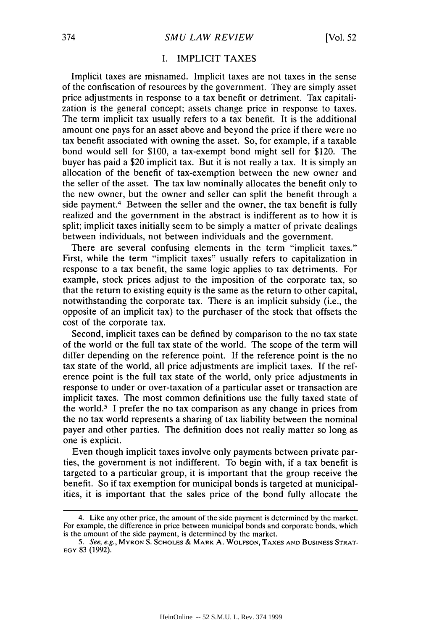### I. IMPLICIT TAXES

Implicit taxes are misnamed. Implicit taxes are not taxes in the sense of the confiscation of resources by the government. They are simply asset price adjustments in response to a tax benefit or detriment. Tax capitalization is the general concept; assets change price in response to taxes. The term implicit tax usually refers to a tax benefit. It is the additional amount one pays for an asset above and beyond the price if there were no tax benefit associated with owning the asset. So, for example, if a taxable bond would sell for \$100, a tax-exempt bond might sell for \$120. The buyer has paid a \$20 implicit tax. But it is not really a tax. It is simply an allocation of the benefit of tax-exemption between the new owner and the seller of the asset. The tax law nominally allocates the benefit only to the new owner, but the owner and seller can split the benefit through a side payment.<sup>4</sup> Between the seller and the owner, the tax benefit is fully realized and the government in the abstract is indifferent as to how it is split; implicit taxes initially seem to be simply a matter of private dealings between individuals, not between individuals and the government.

There are several confusing elements in the term "implicit taxes." First, while the term "implicit taxes" usually refers to capitalization in response to a tax benefit, the same logic applies to tax detriments. For example, stock prices adjust to the imposition of the corporate tax, so that the return to existing equity is the same as the return to other capital, notwithstanding the corporate tax. There is an implicit subsidy (i.e., the opposite of an implicit tax) to the purchaser of the stock that offsets the cost of the corporate tax.

Second, implicit taxes can be defined by comparison to the no tax state of the world or the full tax state of the world. The scope of the term will differ depending on the reference point. If the reference point is the no tax state of the world, all price adjustments are implicit taxes. If the reference point is the full tax state of the world, only price adjustments in response to under or over-taxation of a particular asset or transaction are implicit taxes. The most common definitions use the fully taxed state of the world. 5 I prefer the no tax comparison as any change in prices from the no tax world represents a sharing of tax liability between the nominal payer and other parties. The definition does not really matter so long as one is explicit.

Even though implicit taxes involve only payments between private parties, the government is not indifferent. To begin with, if a tax benefit is targeted to a particular group, it is important that the group receive the benefit. So if tax exemption for municipal bonds is targeted at municipalities, it is important that the sales price of the bond fully allocate the

<sup>4.</sup> Like any other price, the amount of the side payment is determined by the market. For example, the difference in price between municipal bonds and corporate bonds, which is the amount of the side payment, is determined by the market.

*<sup>5.</sup>* See, e.g., MYRON S. **SCHOLES &** MARK A. **WOLFSON, TAXES AND** BUSINESS STRAT-**EGY** 83 (1992).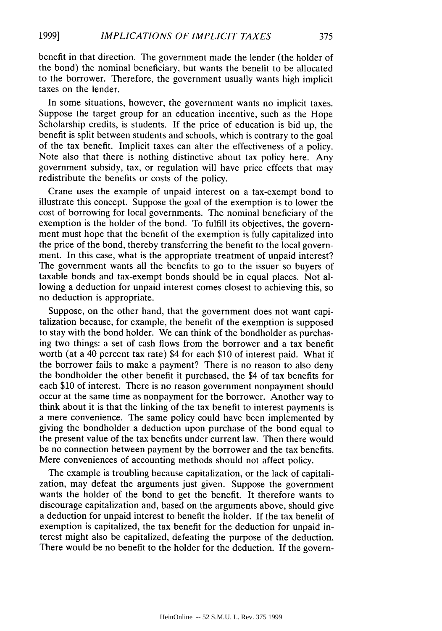benefit in that direction. The government made the lender (the holder of the bond) the nominal beneficiary, but wants the benefit to be allocated to the borrower. Therefore, the government usually wants high implicit taxes on the lender.

In some situations, however, the government wants no implicit taxes. Suppose the target group for an education incentive, such as the Hope Scholarship credits, is students. If the price of education is bid up, the benefit is split between students and schools, which is contrary to the goal of the tax benefit. Implicit taxes can alter the effectiveness of a policy. Note also that there is nothing distinctive about tax policy here. Any government subsidy, tax, or regulation will have price effects that may redistribute the benefits or costs of the policy.

Crane uses the example of unpaid interest on a tax-exempt bond to illustrate this concept. Suppose the goal of the exemption is to lower the cost of borrowing for local governments. The nominal beneficiary of the exemption is the holder of the bond. To fulfill its objectives, the government must hope that the benefit of the exemption is fully capitalized into the price of the bond, thereby transferring the benefit to the local government. In this case, what is the appropriate treatment of unpaid interest? The government wants all the benefits to go to the issuer so buyers of taxable bonds and tax-exempt bonds should be in equal places. Not allowing a deduction for unpaid interest comes closest to achieving this, so no deduction is appropriate.

Suppose, on the other hand, that the government does not want capitalization because, for example, the benefit of the exemption is supposed to stay with the bond holder. We can think of the bondholder as purchasing two things: a set of cash flows from the borrower and a tax benefit worth (at a 40 percent tax rate) \$4 for each \$10 of interest paid. What if the borrower fails to make a payment? There is no reason to also deny the bondholder the other benefit it purchased, the \$4 of tax benefits for each \$10 of interest. There is no reason government nonpayment should occur at the same time as nonpayment for the borrower. Another way to think about it is that the linking of the tax benefit to interest payments is a mere convenience. The same policy could have been implemented by giving the bondholder a deduction upon purchase of the bond equal to the present value of the tax benefits under current law. Then there would be no connection between payment by the borrower and the tax benefits. Mere conveniences of accounting methods should not affect policy.

The example is troubling because capitalization, or the lack of capitalization, may defeat the arguments just given. Suppose the government wants the holder of the bond to get the benefit. It therefore wants to discourage capitalization and, based on the arguments above, should give a deduction for unpaid interest to benefit the holder. If the tax benefit of exemption is capitalized, the tax benefit for the deduction for unpaid interest might also be capitalized, defeating the purpose of the deduction. There would be no benefit to the holder for the deduction. If the govern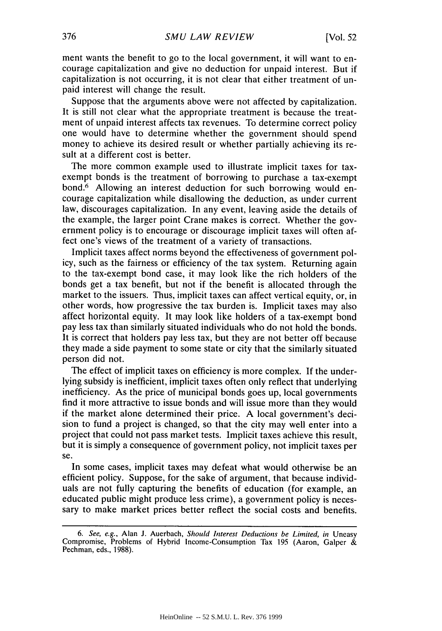ment wants the benefit to go to the local government, it will want to encourage capitalization and give no deduction for unpaid interest. But if capitalization is not occurring, it is not clear that either treatment of unpaid interest will change the result.

Suppose that the arguments above were not affected by capitalization. It is still not clear what the appropriate treatment is because the treatment of unpaid interest affects tax revenues. To determine correct policy one would have to determine whether the government should spend money to achieve its desired result or whether partially achieving its result at a different cost is better.

The more common example used to illustrate implicit taxes for taxexempt bonds is the treatment of borrowing to purchase a tax-exempt bond.6 Allowing an interest deduction for such borrowing would encourage capitalization while disallowing the deduction, as under current law, discourages capitalization. In any event, leaving aside the details of the example, the larger point Crane makes is correct. Whether the government policy is to encourage or discourage implicit taxes will often affect one's views of the treatment of a variety of transactions.

Implicit taxes affect norms beyond the effectiveness of government policy, such as the fairness or efficiency of the tax system. Returning again to the tax-exempt bond case, it may look like the rich holders of the bonds get a tax benefit, but not if the benefit is allocated through the market to the issuers. Thus, implicit taxes can affect vertical equity, or, in other words, how progressive the tax burden is. Implicit taxes may also affect horizontal equity. It may look like holders of a tax-exempt bond pay less tax than similarly situated individuals who do not hold the bonds. It is correct that holders pay less tax, but they are not better off because they made a side payment to some state or city that the similarly situated person did not.

The effect of implicit taxes on efficiency is more complex. If the underlying subsidy is inefficient, implicit taxes often only reflect that underlying inefficiency. As the price of municipal bonds goes up, local governments find it more attractive to issue bonds and will issue more than they would if the market alone determined their price. A local government's decision to fund a project is changed, so that the city may well enter into a project that could not pass market tests. Implicit taxes achieve this result, but it is simply a consequence of government policy, not implicit taxes per se.

In some cases, implicit taxes may defeat what would otherwise be an efficient policy. Suppose, for the sake of argument, that because individuals are not fully capturing the benefits of education (for example, an educated public might produce less crime), a government policy is necessary to make market prices better reflect the social costs and benefits.

*<sup>6.</sup> See, e.g.,* Alan **J.** Auerbach, *Should Interest* Deductions be Limited, in Uneasy Compromise, Problems of Hybrid Income-Consumption Tax 195 (Aaron, Galper & Pechman, eds., 1988).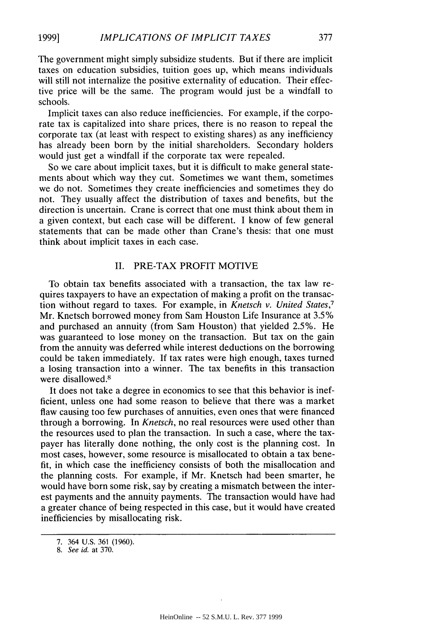The government might simply subsidize students. But if there are implicit taxes on education subsidies, tuition goes up, which means individuals will still not internalize the positive externality of education. Their effective price will be the same. The program would just be a windfall to schools.

Implicit taxes can also reduce inefficiencies. For example, if the corporate tax is capitalized into share prices, there is no reason to repeal the corporate tax (at least with respect to existing shares) as any inefficiency has already been born by the initial shareholders. Secondary holders would just get a windfall if the corporate tax were repealed.

So we care about implicit taxes, but it is difficult to make general statements about which way they cut. Sometimes we want them, sometimes we do not. Sometimes they create inefficiencies and sometimes they do not. They usually affect the distribution of taxes and benefits, but the direction is uncertain. Crane is correct that one must think about them in a given context, but each case will be different. I know of few general statements that can be made other than Crane's thesis: that one must think about implicit taxes in each case.

### II. PRE-TAX PROFIT MOTIVE

To obtain tax benefits associated with a transaction, the tax law requires taxpayers to have an expectation of making a profit on the transaction without regard to taxes. For example, in *Knetsch v. United States,7* Mr. Knetsch borrowed money from Sam Houston Life Insurance at 3.5% and purchased an annuity (from Sam Houston) that yielded 2.5%. He was guaranteed to lose money on the transaction. But tax on the gain from the annuity was deferred while interest deductions on the borrowing could be taken immediately. If tax rates were high enough, taxes turned a losing transaction into a winner. The tax benefits in this transaction were disallowed.<sup>8</sup>

It does not take a degree in economics to see that this behavior is inefficient, unless one had some reason to believe that there was a market flaw causing too few purchases of annuities, even ones that were financed through a borrowing. In *Knetsch,* no real resources were used other than the resources used to plan the transaction. In such a case, where the taxpayer has literally done nothing, the only cost is the planning cost. In most cases, however, some resource is misallocated to obtain a tax benefit, in which case the inefficiency consists of both the misallocation and the planning costs. For example, if Mr. Knetsch had been smarter, he would have born some risk, say by creating a mismatch between the interest payments and the annuity payments. The transaction would have had a greater chance of being respected in this case, but it would have created inefficiencies by misallocating risk.

**<sup>7.</sup>** 364 **U.S. 361 (1960).** 8. See id. at 370.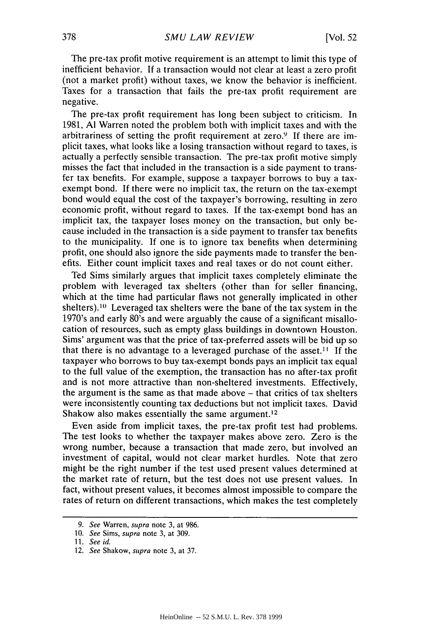The pre-tax profit motive requirement is an attempt to limit this type of inefficient behavior. If a transaction would not clear at least a zero profit (not a market profit) without taxes, we know the behavior is inefficient. Taxes for a transaction that fails the pre-tax profit requirement are negative.

The pre-tax profit requirement has long been subject to criticism. In 1981, **Al** Warren noted the problem both with implicit taxes and with the arbitrariness of setting the profit requirement at zero.<sup>9</sup> If there are implicit taxes, what looks like a losing transaction without regard to taxes, is actually a perfectly sensible transaction. The pre-tax profit motive simply misses the fact that included in the transaction is a side payment to transfer tax benefits. For example, suppose a taxpayer borrows to buy a taxexempt bond. If there were no implicit tax, the return on the tax-exempt bond would equal the cost of the taxpayer's borrowing, resulting in zero economic profit, without regard to taxes. If the tax-exempt bond has an implicit tax, the taxpayer loses money on the transaction, but only because included in the transaction is a side payment to transfer tax benefits to the municipality. If one is to ignore tax benefits when determining profit, one should also ignore the side payments made to transfer the benefits. Either count implicit taxes and real taxes or do not count either.

Ted Sims similarly argues that implicit taxes completely eliminate the problem with leveraged tax shelters (other than for seller financing, which at the time had particular flaws not generally implicated in other shelters).<sup>10</sup> Leveraged tax shelters were the bane of the tax system in the 1970's and early 80's and were arguably the cause of a significant misallocation of resources, such as empty glass buildings in downtown Houston. Sims' argument was that the price of tax-preferred assets will be bid up so that there is no advantage to a leveraged purchase of the asset.<sup>11</sup> If the taxpayer who borrows to buy tax-exempt bonds pays an implicit tax equal to the full value of the exemption, the transaction has no after-tax profit and is not more attractive than non-sheltered investments. Effectively, the argument is the same as that made above - that critics of tax shelters were inconsistently counting tax deductions but not implicit taxes. David Shakow also makes essentially the same argument.<sup>12</sup>

Even aside from implicit taxes, the pre-tax profit test had problems. The test looks to whether the taxpayer makes above zero. Zero is the wrong number, because a transaction that made zero, but involved an investment of capital, would not clear market hurdles. Note that zero might be the right number if the test used present values determined at the market rate of return, but the test does not use present values. In fact, without present values, it becomes almost impossible to compare the rates of return on different transactions, which makes the test completely

<sup>9.</sup> See Warren, supra note 3, at 986.

<sup>10.</sup> See Sims, supra note 3, at 309.

*<sup>11.</sup>* See id.

<sup>12.</sup> See Shakow, supra note 3, at 37.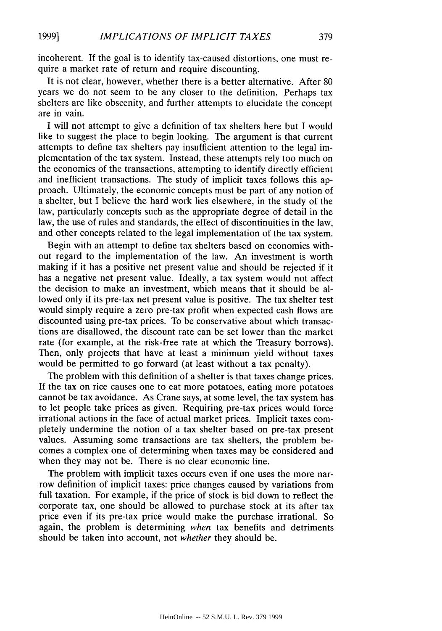incoherent. If the goal is to identify tax-caused distortions, one must require a market rate of return and require discounting.

It is not clear, however, whether there is a better alternative. After 80 years we do not seem to be any closer to the definition. Perhaps tax shelters are like obscenity, and further attempts to elucidate the concept are in vain.

I will not attempt to give a definition of tax shelters here but I would like to suggest the place to begin looking. The argument is that current attempts to define tax shelters pay insufficient attention to the legal implementation of the tax system. Instead, these attempts rely too much on the economics of the transactions, attempting to identify directly efficient and inefficient transactions. The study of implicit taxes follows this approach. Ultimately, the economic concepts must be part of any notion of a shelter, but I believe the hard work lies elsewhere, in the study of the law, particularly concepts such as the appropriate degree of detail in the law, the use of rules and standards, the effect of discontinuities in the law, and other concepts related to the legal implementation of the tax system.

Begin with an attempt to define tax shelters based on economics without regard to the implementation of the law. An investment is worth making if it has a positive net present value and should be rejected if it has a negative net present value. Ideally, a tax system would not affect the decision to make an investment, which means that it should be allowed only if its pre-tax net present value is positive. The tax shelter test would simply require a zero pre-tax profit when expected cash flows are discounted using pre-tax prices. To be conservative about which transactions are disallowed, the discount rate can be set lower than the market rate (for example, at the risk-free rate at which the Treasury borrows). Then, only projects that have at least a minimum yield without taxes would be permitted to go forward (at least without a tax penalty).

The problem with this definition of a shelter is that taxes change prices. If the tax on rice causes one to eat more potatoes, eating more potatoes cannot be tax avoidance. As Crane says, at some level, the tax system has to let people take prices as given. Requiring pre-tax prices would force irrational actions in the face of actual market prices. Implicit taxes completely undermine the notion of a tax shelter based on pre-tax present values. Assuming some transactions are tax shelters, the problem becomes a complex one of determining when taxes may be considered and when they may not be. There is no clear economic line.

The problem with implicit taxes occurs even if one uses the more narrow definition of implicit taxes: price changes caused by variations from full taxation. For example, if the price of stock is bid down to reflect the corporate tax, one should be allowed to purchase stock at its after tax price even if its pre-tax price would make the purchase irrational. So again, the problem is determining *when* tax benefits and detriments should be taken into account, not *whether* they should be.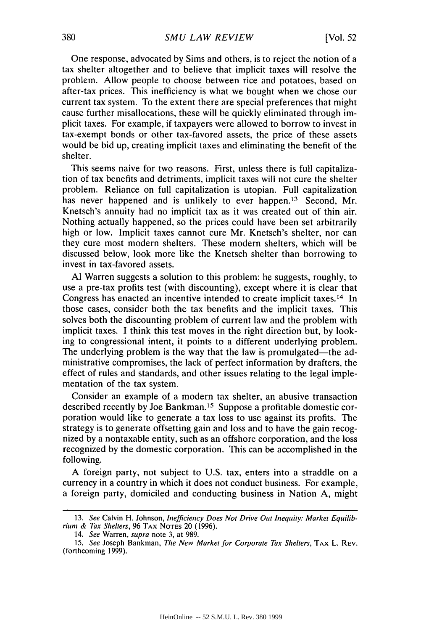One response, advocated by Sims and others, is to reject the notion of a tax shelter altogether and to believe that implicit taxes will resolve the problem. Allow people to choose between rice and potatoes, based on after-tax prices. This inefficiency is what we bought when we chose our current tax system. To the extent there are special preferences that might cause further misallocations, these will be quickly eliminated through implicit taxes. For example, if taxpayers were allowed to borrow to invest in tax-exempt bonds or other tax-favored assets, the price of these assets would be bid up, creating implicit taxes and eliminating the benefit of the shelter.

This seems naive for two reasons. First, unless there is full capitalization of tax benefits and detriments, implicit taxes will not cure the shelter problem. Reliance on full capitalization is utopian. Full capitalization has never happened and is unlikely to ever happen.<sup>13</sup> Second, Mr. Knetsch's annuity had no implicit tax as it was created out of thin air. Nothing actually happened, so the prices could have been set arbitrarily high or low. Implicit taxes cannot cure Mr. Knetsch's shelter, nor can they cure most modern shelters. These modern shelters, which will be discussed below, look more like the Knetsch shelter than borrowing to invest in tax-favored assets.

**Al** Warren suggests a solution to this problem: he suggests, roughly, to use a pre-tax profits test (with discounting), except where it is clear that Congress has enacted an incentive intended to create implicit taxes.14 In those cases, consider both the tax benefits and the implicit taxes. This solves both the discounting problem of current law and the problem with implicit taxes. I think this test moves in the right direction but, by looking to congressional intent, it points to a different underlying problem. The underlying problem is the way that the law is promulgated—the administrative compromises, the lack of perfect information by drafters, the effect of rules and standards, and other issues relating to the legal implementation of the tax system.

Consider an example of a modern tax shelter, an abusive transaction described recently by Joe Bankman.15 Suppose a profitable domestic corporation would like to generate a tax loss to use against its profits. The strategy is to generate offsetting gain and loss and to have the gain recognized by a nontaxable entity, such as an offshore corporation, and the loss recognized by the domestic corporation. This can be accomplished in the following.

A foreign party, not subject to U.S. tax, enters into a straddle on a currency in a country in which it does not conduct business. For example, a foreign party, domiciled and conducting business in Nation A, might

<sup>13.</sup> See Calvin H. Johnson, *Inefficiency Does* Not Drive *Out* Inequity: *Market Equilib- rium* & Tax Shelters, 96 TAX NOTES 20 (1996).

<sup>14.</sup> See Warren, *supra* note 3, at 989.

<sup>15.</sup> See Joseph Bankman, The New Market for Corporate Tax Shelters, TAX L. REV. (forthcoming 1999).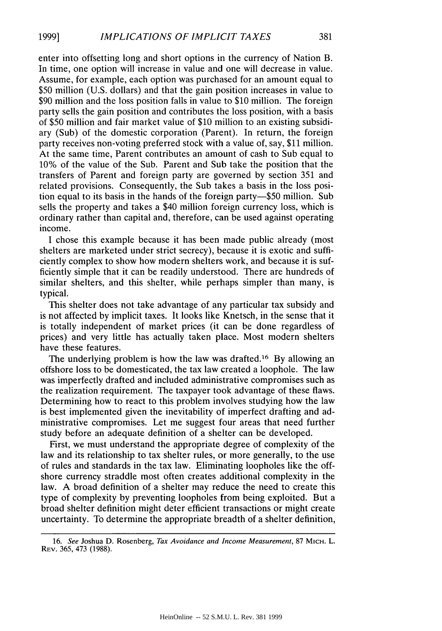enter into offsetting long and short options in the currency of Nation B. In time, one option will increase in value and one will decrease in value. Assume, for example, each option was purchased for an amount equal to \$50 million (U.S. dollars) and that the gain position increases in value to \$90 million and the loss position falls in value to \$10 million. The foreign party sells the gain position and contributes the loss position, with a basis of \$50 million and fair market value of \$10 million to an existing subsidiary (Sub) of the domestic corporation (Parent). In return, the foreign party receives non-voting preferred stock with a value of, say, \$11 million. At the same time, Parent contributes an amount of cash to Sub equal to 10% of the value of the Sub. Parent and Sub take the position that the transfers of Parent and foreign party are governed by section 351 and related provisions. Consequently, the Sub takes a basis in the loss position equal to its basis in the hands of the foreign party-\$50 million. Sub sells the property and takes a \$40 million foreign currency loss, which is ordinary rather than capital and, therefore, can be used against operating income.

I chose this example because it has been made public already (most shelters are marketed under strict secrecy), because it is exotic and sufficiently complex to show how modern shelters work, and because it is sufficiently simple that it can be readily understood. There are hundreds of similar shelters, and this shelter, while perhaps simpler than many, is typical.

This shelter does not take advantage of any particular tax subsidy and is not affected by implicit taxes. It looks like Knetsch, in the sense that it is totally independent of market prices (it can be done regardless of prices) and very little has actually taken place. Most modern shelters have these features.

The underlying problem is how the law was drafted.<sup>16</sup> By allowing an offshore loss to be domesticated, the tax law created a loophole. The law was imperfectly drafted and included administrative compromises such as the realization requirement. The taxpayer took advantage of these flaws. Determining how to react to this problem involves studying how the law is best implemented given the inevitability of imperfect drafting and administrative compromises. Let me suggest four areas that need further study before an adequate definition of a shelter can be developed.

First, we must understand the appropriate degree of complexity of the law and its relationship to tax shelter rules, or more generally, to the use of rules and standards in the tax law. Eliminating loopholes like the offshore currency straddle most often creates additional complexity in the law. A broad definition of a shelter may reduce the need to create this type of complexity by preventing loopholes from being exploited. But a broad shelter definition might deter efficient transactions or might create uncertainty. To determine the appropriate breadth of a shelter definition,

*<sup>16.</sup> See* Joshua D. Rosenberg, *Tax Avoidance and Income Measurement,* 87 MICH. L. REV. 365, 473 (1988).